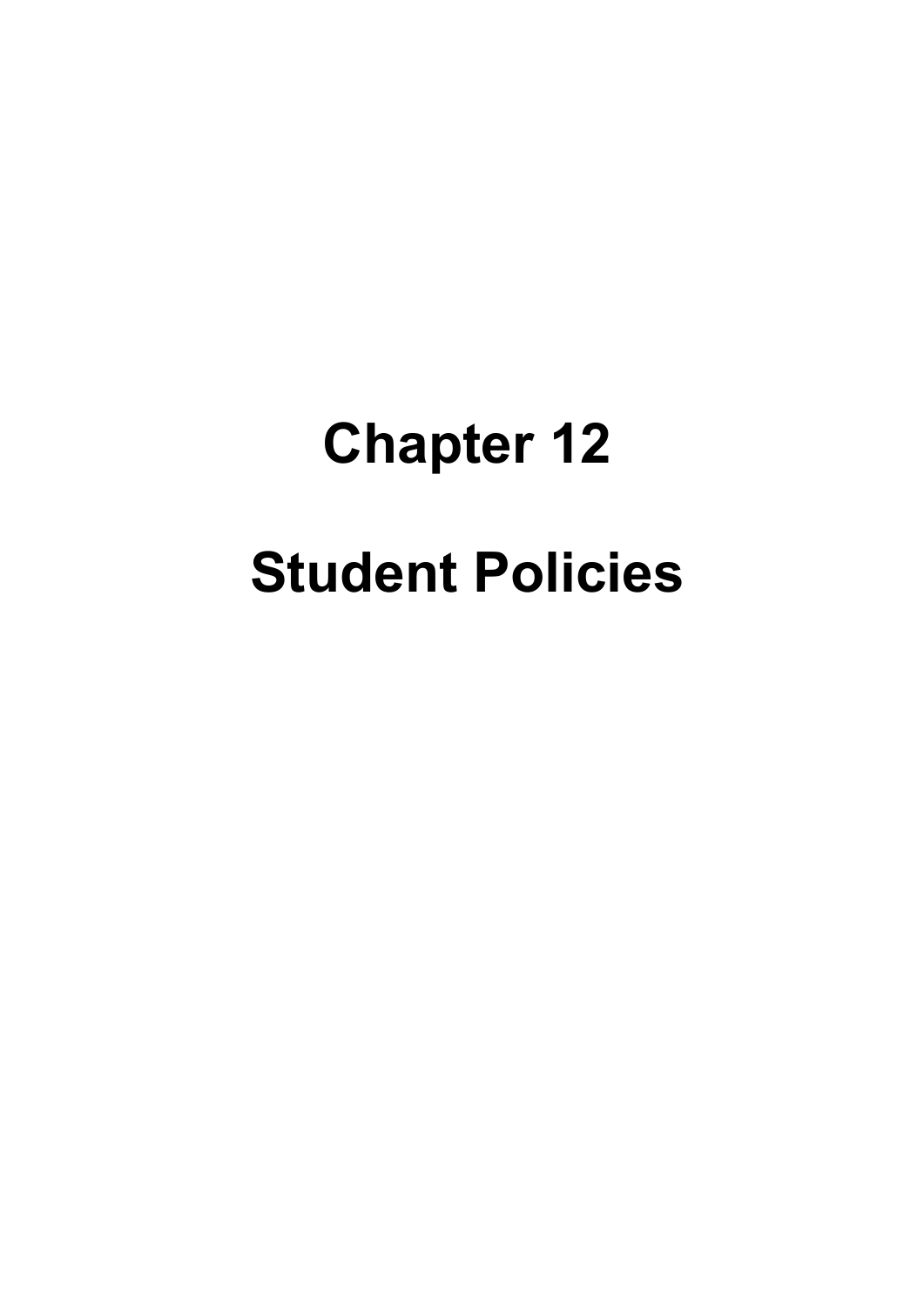# **Chapter 12 Student Policies**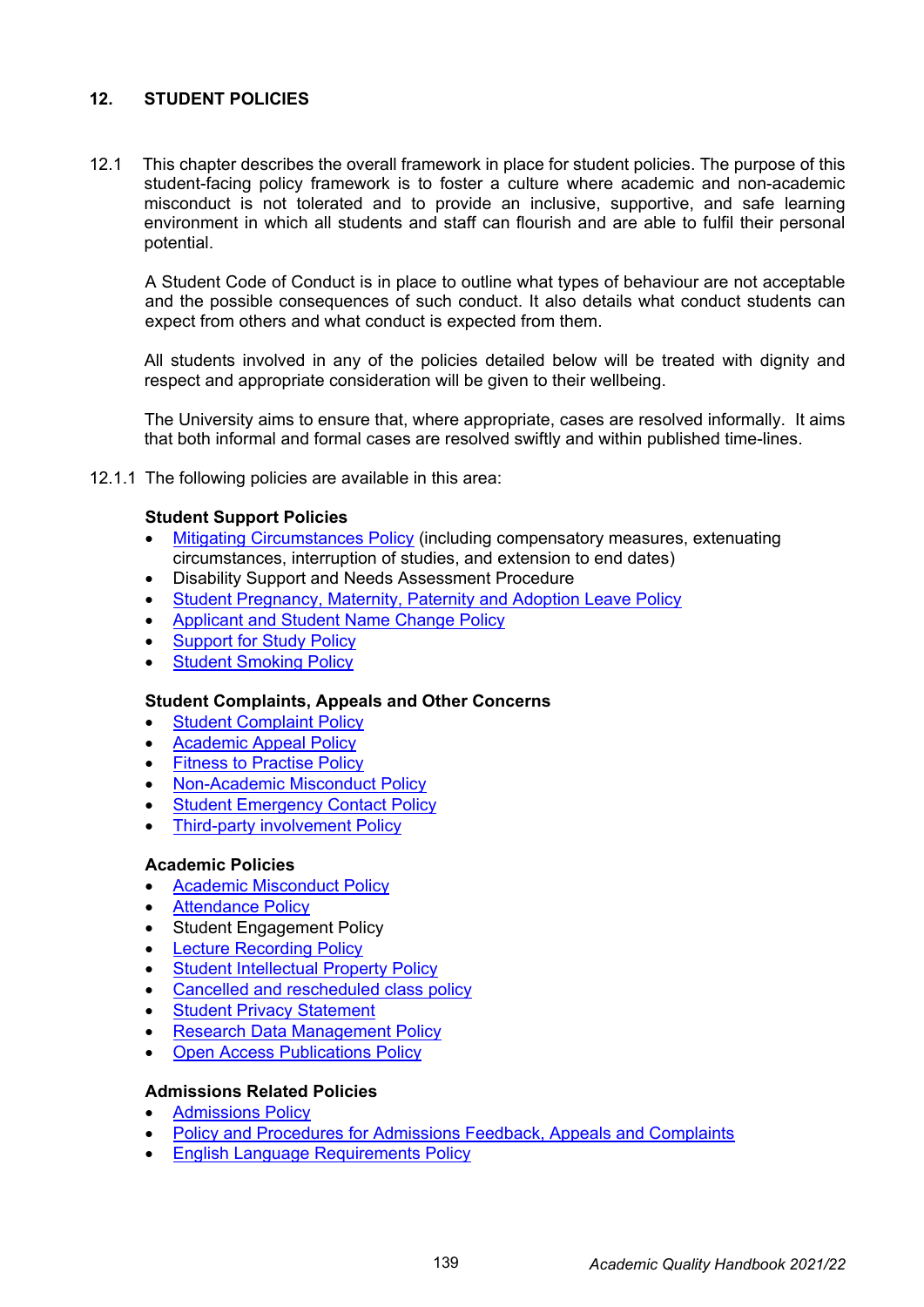# **12. STUDENT POLICIES**

12.1 This chapter describes the overall framework in place for student policies. The purpose of this student-facing policy framework is to foster a culture where academic and non-academic misconduct is not tolerated and to provide an inclusive, supportive, and safe learning environment in which all students and staff can flourish and are able to fulfil their personal potential.

A Student Code of Conduct is in place to outline what types of behaviour are not acceptable and the possible consequences of such conduct. It also details what conduct students can expect from others and what conduct is expected from them.

All students involved in any of the policies detailed below will be treated with dignity and respect and appropriate consideration will be given to their wellbeing.

The University aims to ensure that, where appropriate, cases are resolved informally. It aims that both informal and formal cases are resolved swiftly and within published time-lines.

12.1.1 The following policies are available in this area:

### **Student Support Policies**

- [Mitigating Circumstances Policy](https://www.uwtsd.ac.uk/media/uwtsd-website/content-assets/documents/academic-office/misc-forms/Mitigating_Circumstances_Policy_2021-22.pdf) (including compensatory measures, extenuating circumstances, interruption of studies, and extension to end dates)
- Disability Support and Needs Assessment Procedure
- [Student Pregnancy, Maternity, Paternity and Adoption Leave Policy](https://uwtsd.ac.uk/media/uwtsd-website/content-assets/documents/strategies-policies/Student_Pregnancy_Maternity_Paternity_and_Adoption_Leave_Policy.pdf)
- [Applicant and Student Name Change Policy](https://www.uwtsd.ac.uk/media/uwtsd-website/content-assets/documents/strategies-policies/Applicant-and-Student-Name-Change-Policy.pdf)
- **[Support for Study Policy](https://www.uwtsd.ac.uk/media/uwtsd-website/content-assets/documents/academic-office/misc-forms/Support_for_Study_Policy_2021-22.pdf)**
- **[Student Smoking Policy](https://www.uwtsd.ac.uk/media/uwtsd-website/content-assets/documents/strategies-policies/2.0-Student-Smoking-Policy-final-version.pdf)**

#### **Student Complaints, Appeals and Other Concerns**

- **[Student Complaint Policy](https://uwtsd.ac.uk/media/uwtsd-website/content-assets/documents/academic-office/misc-forms/Student_Complaint_Policy_2021-22.pdf)**
- [Academic Appeal Policy](https://uwtsd.ac.uk/media/uwtsd-website/content-assets/documents/academic-office/misc-forms/Academic_Appeal_Policy_2021-22.pdf)
- **[Fitness to Practise Policy](https://uwtsd.ac.uk/media/uwtsd-website/content-assets/documents/academic-office/misc-forms/Fitness_to_Practise_Policy_2021-22.pdf)**
- [Non-Academic Misconduct Policy](https://uwtsd.ac.uk/media/uwtsd-website/content-assets/documents/academic-office/misc-forms/Non-Academic_Misconduct_Policy_2021-22.pdf)
- **[Student Emergency Contact Policy](https://uwtsd.ac.uk/media/uwtsd-website/content-assets/documents/academic-office/misc-forms/UWTSD_Group_Student_Emergency_Contact_Policy_2021-22.pdf)**
- **[Third-party involvement Policy](https://uwtsd.ac.uk/media/uwtsd-website/content-assets/documents/academic-office/misc-forms/Third_Party_Involvement_Policy_2021-22.pdf)**

#### **Academic Policies**

- [Academic Misconduct Policy](https://www.uwtsd.ac.uk/media/uwtsd-website/content-assets/documents/academic-office/misc-forms/Academic_Misconduct_Policy_2021-22.pdf)
- **[Attendance Policy](https://www.uwtsd.ac.uk/media/uwtsd-website/content-assets/documents/academic-office/misc-forms/UWTSD-Attendance-Policy-2016-17-(Wales-campuses).pdf)**
- **Student Engagement Policy**
- **[Lecture Recording Policy](https://www.uwtsd.ac.uk/media/uwtsd-website/content-assets/documents/academic-office/aqh-chapters/chapters---en/Lecture-Recording-Policy.pdf)**
- [Student Intellectual Property Policy](https://www.uwtsd.ac.uk/media/uwtsd-website/content-assets/documents/academic-office/aqh-chapters/chapters---en/Intellectual-Property-Policy-Students-Final.pdf)
- [Cancelled and rescheduled class policy](https://www.uwtsd.ac.uk/media/uwtsd-website/content-assets/documents/strategies-policies/2.0-Cancelled-and-rescheduled-class-policy.pdf)
- **[Student Privacy Statement](https://www.uwtsd.ac.uk/media/uwtsd-website/content-assets/documents/strategies-policies/student-privacy-statement1.pdf)**
- [Research Data Management Policy](https://uwtsd.ac.uk/media/uwtsd-website/content-assets/documents/strategies-policies/Research-Data-Management-Policy-27.01.16.pdf)
- **[Open Access Publications Policy](https://uwtsd.ac.uk/media/uwtsd-website/content-assets/documents/strategies-policies/Open-Access-Publications-Policy-27.01.16.pdf)**

#### **Admissions Related Policies**

- [Admissions Policy](https://www.uwtsd.ac.uk/media/uwtsd-website/content-assets/documents/registry/admissions-policy-and-related/uwtsd-admissions-policy.pdf)
- [Policy and Procedures for Admissions Feedback, Appeals and Complaints](https://www.uwtsd.ac.uk/media/uwtsd-website/content-assets/documents/registry/admissions-policy-and-related/policy-and-procedure-for-admissions-feedback-appeals-and-complaints.pdf)
- [English Language Requirements Policy](https://www.uwtsd.ac.uk/media/uwtsd-website/content-assets/documents/international/english-language-requirements-policy-2021_01.pdf)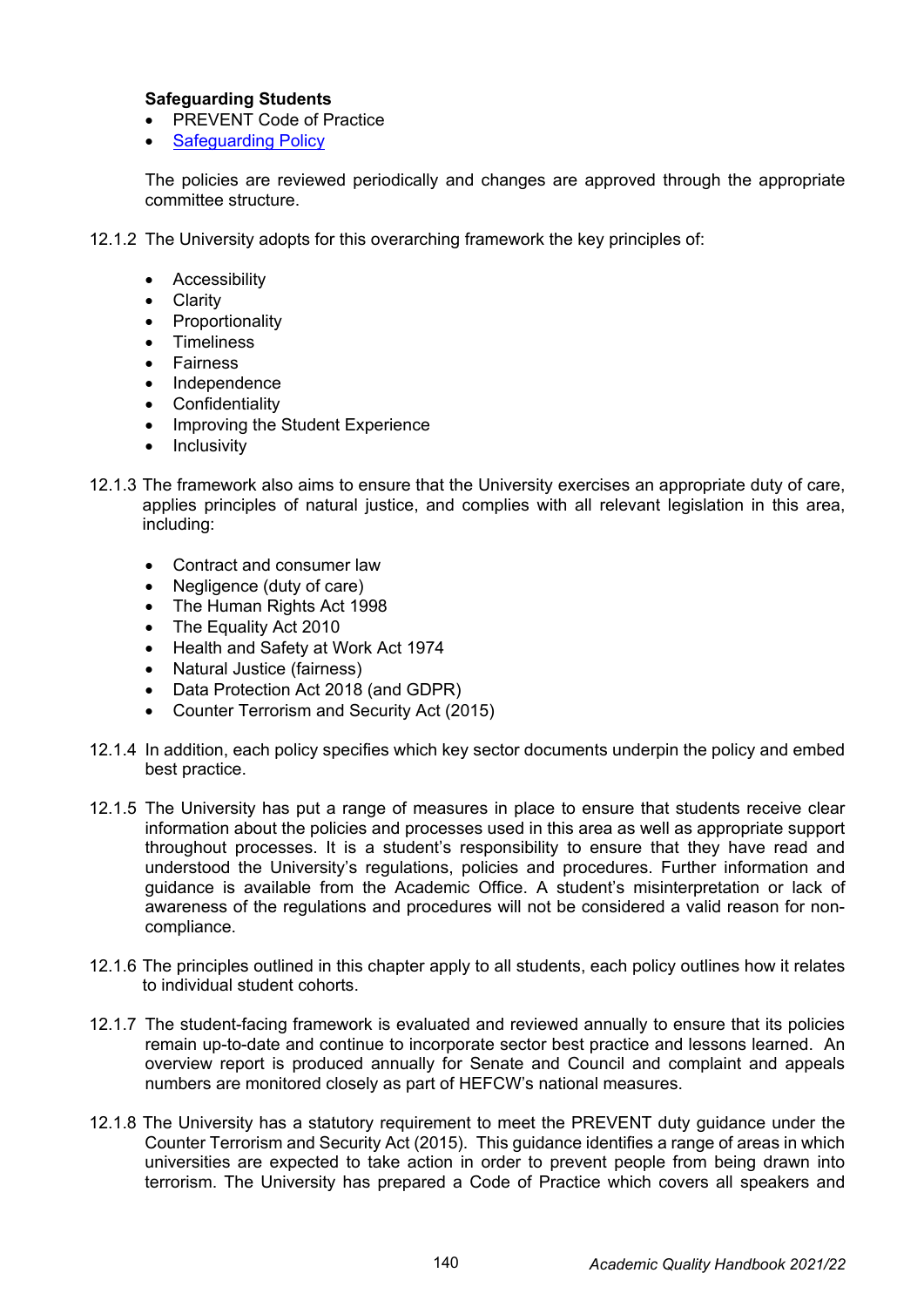## **Safeguarding Students**

- PREVENT Code of Practice
- **[Safeguarding Policy](https://uwtsd.ac.uk/media/uwtsd-website/content-assets/documents/strategies-policies/Safeguarding-Policy-updated-27.02.20.pdf)**

The policies are reviewed periodically and changes are approved through the appropriate committee structure.

- 12.1.2 The University adopts for this overarching framework the key principles of:
	- **Accessibility**
	- Clarity
	- **Proportionality**
	- Timeliness
	- Fairness
	- Independence
	- **Confidentiality**
	- Improving the Student Experience
	- Inclusivity
- 12.1.3 The framework also aims to ensure that the University exercises an appropriate duty of care, applies principles of natural justice, and complies with all relevant legislation in this area, including:
	- Contract and consumer law
	- Negligence (duty of care)
	- The Human Rights Act 1998
	- The Equality Act 2010
	- Health and Safety at Work Act 1974
	- Natural Justice (fairness)
	- Data Protection Act 2018 (and GDPR)
	- Counter Terrorism and Security Act (2015)
- 12.1.4 In addition, each policy specifies which key sector documents underpin the policy and embed best practice.
- 12.1.5 The University has put a range of measures in place to ensure that students receive clear information about the policies and processes used in this area as well as appropriate support throughout processes. It is a student's responsibility to ensure that they have read and understood the University's regulations, policies and procedures. Further information and guidance is available from the Academic Office. A student's misinterpretation or lack of awareness of the regulations and procedures will not be considered a valid reason for noncompliance.
- 12.1.6 The principles outlined in this chapter apply to all students, each policy outlines how it relates to individual student cohorts.
- 12.1.7 The student-facing framework is evaluated and reviewed annually to ensure that its policies remain up-to-date and continue to incorporate sector best practice and lessons learned. An overview report is produced annually for Senate and Council and complaint and appeals numbers are monitored closely as part of HEFCW's national measures.
- 12.1.8 The University has a statutory requirement to meet the PREVENT duty guidance under the Counter Terrorism and Security Act (2015). This guidance identifies a range of areas in which universities are expected to take action in order to prevent people from being drawn into terrorism. The University has prepared a Code of Practice which covers all speakers and